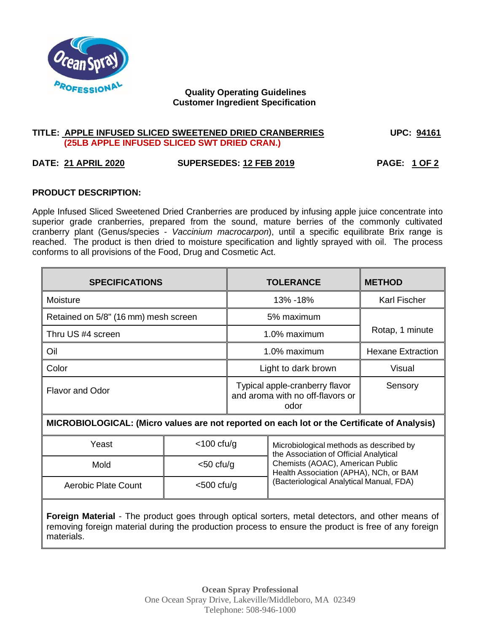

# **Quality Operating Guidelines Customer Ingredient Specification**

### **TITLE: APPLE INFUSED SLICED SWEETENED DRIED CRANBERRIES UPC: 94161 (25LB APPLE INFUSED SLICED SWT DRIED CRAN.)**

# **DATE: 21 APRIL 2020 SUPERSEDES: 12 FEB 2019 PAGE: 1 OF 2**

## **PRODUCT DESCRIPTION:**

Apple Infused Sliced Sweetened Dried Cranberries are produced by infusing apple juice concentrate into superior grade cranberries, prepared from the sound, mature berries of the commonly cultivated cranberry plant (Genus/species - *Vaccinium macrocarpon*), until a specific equilibrate Brix range is reached. The product is then dried to moisture specification and lightly sprayed with oil. The process conforms to all provisions of the Food, Drug and Cosmetic Act.

| <b>SPECIFICATIONS</b>                | <b>TOLERANCE</b>                                                           | <b>METHOD</b>            |
|--------------------------------------|----------------------------------------------------------------------------|--------------------------|
| Moisture                             | 13% - 18%                                                                  | <b>Karl Fischer</b>      |
| Retained on 5/8" (16 mm) mesh screen | 5% maximum                                                                 |                          |
| Thru US #4 screen                    | 1.0% maximum                                                               | Rotap, 1 minute          |
| Oil                                  | 1.0% maximum                                                               | <b>Hexane Extraction</b> |
| Color                                | Light to dark brown                                                        | Visual                   |
| <b>Flavor and Odor</b>               | Typical apple-cranberry flavor<br>and aroma with no off-flavors or<br>odor | Sensory                  |

## **MICROBIOLOGICAL: (Micro values are not reported on each lot or the Certificate of Analysis)**

| Yeast               | $<$ 100 cfu/g | Microbiological methods as described by<br>the Association of Official Analytical |  |
|---------------------|---------------|-----------------------------------------------------------------------------------|--|
| Mold                | $<$ 50 cfu/g  | Chemists (AOAC), American Public<br>Health Association (APHA), NCh, or BAM        |  |
| Aerobic Plate Count | $<$ 500 cfu/g | (Bacteriological Analytical Manual, FDA)                                          |  |

**Foreign Material** - The product goes through optical sorters, metal detectors, and other means of removing foreign material during the production process to ensure the product is free of any foreign materials.